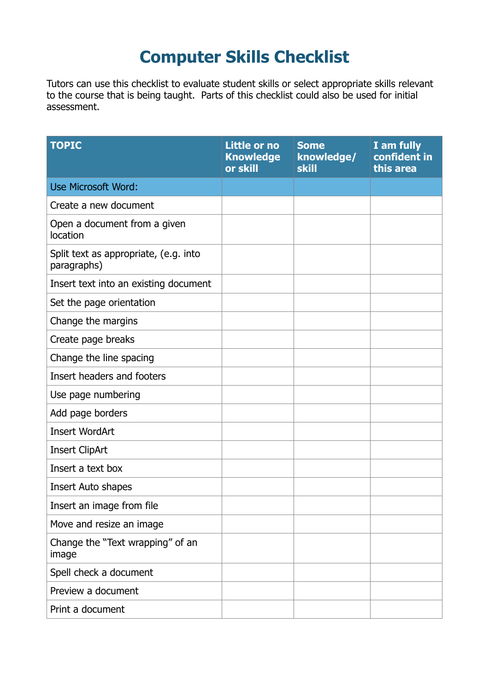## **Computer Skills Checklist**

Tutors can use this checklist to evaluate student skills or select appropriate skills relevant to the course that is being taught. Parts of this checklist could also be used for initial assessment.

| <b>TOPIC</b>                                         | Little or no<br><b>Knowledge</b><br>or skill | <b>Some</b><br>knowledge/<br>skill | I am fully<br>confident in<br>this area |
|------------------------------------------------------|----------------------------------------------|------------------------------------|-----------------------------------------|
| <b>Use Microsoft Word:</b>                           |                                              |                                    |                                         |
| Create a new document                                |                                              |                                    |                                         |
| Open a document from a given<br>location             |                                              |                                    |                                         |
| Split text as appropriate, (e.g. into<br>paragraphs) |                                              |                                    |                                         |
| Insert text into an existing document                |                                              |                                    |                                         |
| Set the page orientation                             |                                              |                                    |                                         |
| Change the margins                                   |                                              |                                    |                                         |
| Create page breaks                                   |                                              |                                    |                                         |
| Change the line spacing                              |                                              |                                    |                                         |
| Insert headers and footers                           |                                              |                                    |                                         |
| Use page numbering                                   |                                              |                                    |                                         |
| Add page borders                                     |                                              |                                    |                                         |
| <b>Insert WordArt</b>                                |                                              |                                    |                                         |
| <b>Insert ClipArt</b>                                |                                              |                                    |                                         |
| Insert a text box                                    |                                              |                                    |                                         |
| Insert Auto shapes                                   |                                              |                                    |                                         |
| Insert an image from file                            |                                              |                                    |                                         |
| Move and resize an image                             |                                              |                                    |                                         |
| Change the "Text wrapping" of an<br>image            |                                              |                                    |                                         |
| Spell check a document                               |                                              |                                    |                                         |
| Preview a document                                   |                                              |                                    |                                         |
| Print a document                                     |                                              |                                    |                                         |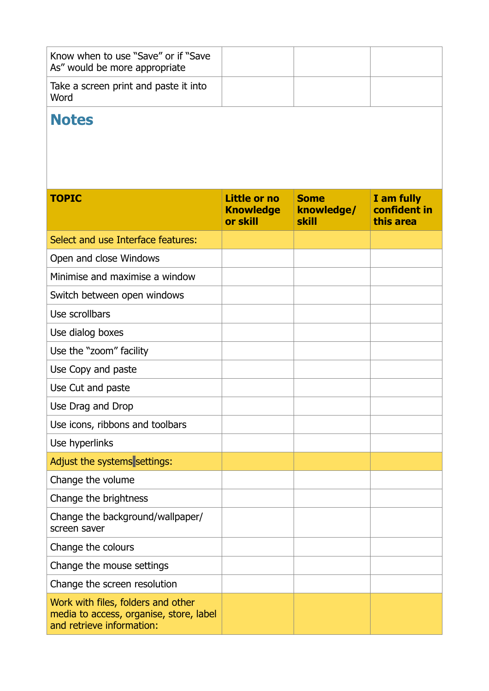| Know when to use "Save" or if "Save"<br>As" would be more appropriate |  |  |
|-----------------------------------------------------------------------|--|--|
| Take a screen print and paste it into<br>Word                         |  |  |

## **Notes**

| <b>TOPIC</b>                                                                                               | Little or no<br><b>Knowledge</b><br>or skill | <b>Some</b><br>knowledge/<br>skill | I am fully<br>confident in<br>this area |
|------------------------------------------------------------------------------------------------------------|----------------------------------------------|------------------------------------|-----------------------------------------|
| Select and use Interface features:                                                                         |                                              |                                    |                                         |
| Open and close Windows                                                                                     |                                              |                                    |                                         |
| Minimise and maximise a window                                                                             |                                              |                                    |                                         |
| Switch between open windows                                                                                |                                              |                                    |                                         |
| Use scrollbars                                                                                             |                                              |                                    |                                         |
| Use dialog boxes                                                                                           |                                              |                                    |                                         |
| Use the "zoom" facility                                                                                    |                                              |                                    |                                         |
| Use Copy and paste                                                                                         |                                              |                                    |                                         |
| Use Cut and paste                                                                                          |                                              |                                    |                                         |
| Use Drag and Drop                                                                                          |                                              |                                    |                                         |
| Use icons, ribbons and toolbars                                                                            |                                              |                                    |                                         |
| Use hyperlinks                                                                                             |                                              |                                    |                                         |
| Adjust the systems settings:                                                                               |                                              |                                    |                                         |
| Change the volume                                                                                          |                                              |                                    |                                         |
| Change the brightness                                                                                      |                                              |                                    |                                         |
| Change the background/wallpaper/<br>screen saver                                                           |                                              |                                    |                                         |
| Change the colours                                                                                         |                                              |                                    |                                         |
| Change the mouse settings                                                                                  |                                              |                                    |                                         |
| Change the screen resolution                                                                               |                                              |                                    |                                         |
| Work with files, folders and other<br>media to access, organise, store, label<br>and retrieve information: |                                              |                                    |                                         |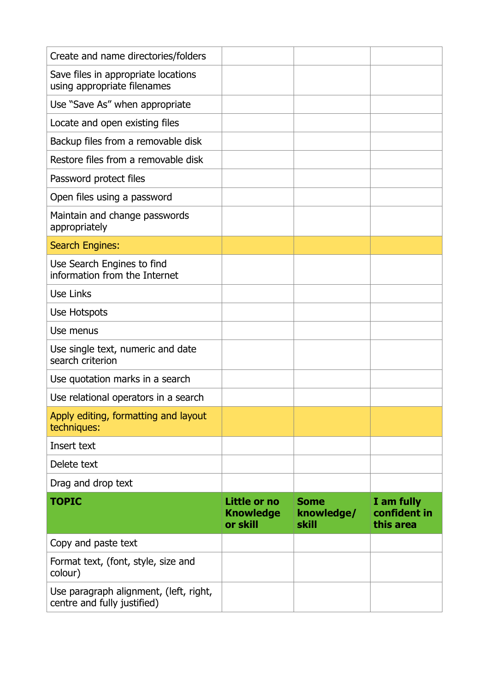| Create and name directories/folders                                   |                                              |                                    |                                         |
|-----------------------------------------------------------------------|----------------------------------------------|------------------------------------|-----------------------------------------|
| Save files in appropriate locations<br>using appropriate filenames    |                                              |                                    |                                         |
| Use "Save As" when appropriate                                        |                                              |                                    |                                         |
| Locate and open existing files                                        |                                              |                                    |                                         |
| Backup files from a removable disk                                    |                                              |                                    |                                         |
| Restore files from a removable disk                                   |                                              |                                    |                                         |
| Password protect files                                                |                                              |                                    |                                         |
| Open files using a password                                           |                                              |                                    |                                         |
| Maintain and change passwords<br>appropriately                        |                                              |                                    |                                         |
| <b>Search Engines:</b>                                                |                                              |                                    |                                         |
| Use Search Engines to find<br>information from the Internet           |                                              |                                    |                                         |
| Use Links                                                             |                                              |                                    |                                         |
| Use Hotspots                                                          |                                              |                                    |                                         |
| Use menus                                                             |                                              |                                    |                                         |
| Use single text, numeric and date<br>search criterion                 |                                              |                                    |                                         |
| Use quotation marks in a search                                       |                                              |                                    |                                         |
| Use relational operators in a search                                  |                                              |                                    |                                         |
| Apply editing, formatting and layout<br>techniques:                   |                                              |                                    |                                         |
| Insert text                                                           |                                              |                                    |                                         |
| Delete text                                                           |                                              |                                    |                                         |
| Drag and drop text                                                    |                                              |                                    |                                         |
| <b>TOPIC</b>                                                          | Little or no<br><b>Knowledge</b><br>or skill | <b>Some</b><br>knowledge/<br>skill | I am fully<br>confident in<br>this area |
| Copy and paste text                                                   |                                              |                                    |                                         |
| Format text, (font, style, size and<br>colour)                        |                                              |                                    |                                         |
| Use paragraph alignment, (left, right,<br>centre and fully justified) |                                              |                                    |                                         |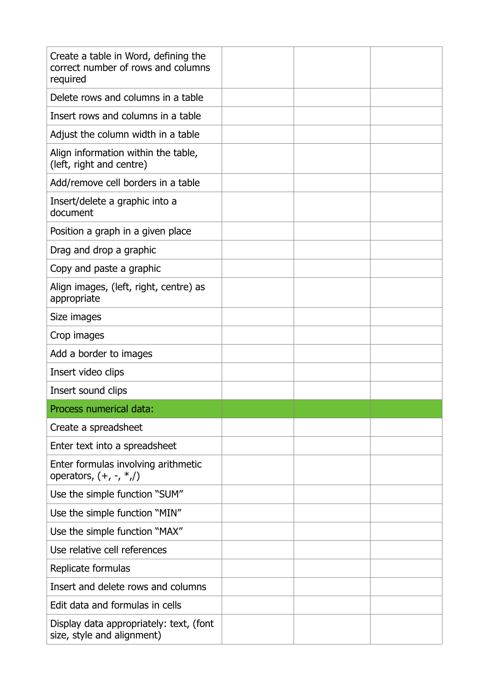| Create a table in Word, defining the<br>correct number of rows and columns<br>required |  |  |
|----------------------------------------------------------------------------------------|--|--|
| Delete rows and columns in a table                                                     |  |  |
| Insert rows and columns in a table                                                     |  |  |
| Adjust the column width in a table                                                     |  |  |
| Align information within the table,<br>(left, right and centre)                        |  |  |
| Add/remove cell borders in a table                                                     |  |  |
| Insert/delete a graphic into a<br>document                                             |  |  |
| Position a graph in a given place                                                      |  |  |
| Drag and drop a graphic                                                                |  |  |
| Copy and paste a graphic                                                               |  |  |
| Align images, (left, right, centre) as<br>appropriate                                  |  |  |
| Size images                                                                            |  |  |
| Crop images                                                                            |  |  |
| Add a border to images                                                                 |  |  |
| Insert video clips                                                                     |  |  |
| Insert sound clips                                                                     |  |  |
| Process numerical data:                                                                |  |  |
| Create a spreadsheet                                                                   |  |  |
| Enter text into a spreadsheet                                                          |  |  |
| Enter formulas involving arithmetic<br>operators, $(+, -, *,/)$                        |  |  |
| Use the simple function "SUM"                                                          |  |  |
| Use the simple function "MIN"                                                          |  |  |
| Use the simple function "MAX"                                                          |  |  |
| Use relative cell references                                                           |  |  |
| Replicate formulas                                                                     |  |  |
| Insert and delete rows and columns                                                     |  |  |
| Edit data and formulas in cells                                                        |  |  |
| Display data appropriately: text, (font<br>size, style and alignment)                  |  |  |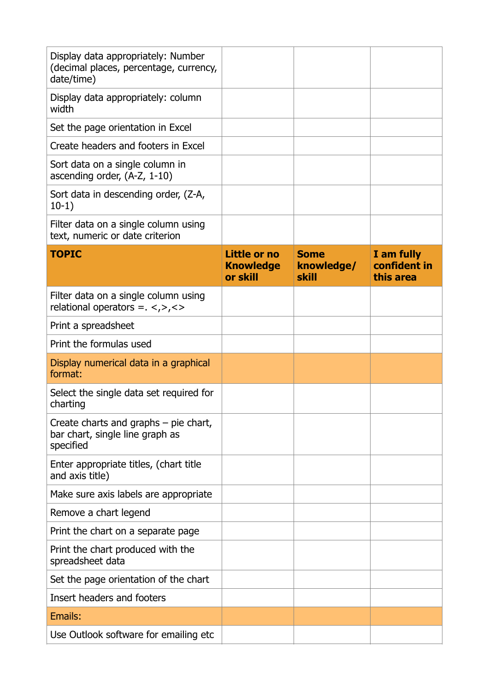| Display data appropriately: Number<br>(decimal places, percentage, currency,<br>date/time) |                                              |                                    |                                         |
|--------------------------------------------------------------------------------------------|----------------------------------------------|------------------------------------|-----------------------------------------|
| Display data appropriately: column<br>width                                                |                                              |                                    |                                         |
| Set the page orientation in Excel                                                          |                                              |                                    |                                         |
| Create headers and footers in Excel                                                        |                                              |                                    |                                         |
| Sort data on a single column in<br>ascending order, $(A-Z, 1-10)$                          |                                              |                                    |                                         |
| Sort data in descending order, (Z-A,<br>$10-1)$                                            |                                              |                                    |                                         |
| Filter data on a single column using<br>text, numeric or date criterion                    |                                              |                                    |                                         |
| <b>TOPIC</b>                                                                               | Little or no<br><b>Knowledge</b><br>or skill | <b>Some</b><br>knowledge/<br>skill | I am fully<br>confident in<br>this area |
| Filter data on a single column using<br>relational operators = $\langle \rangle$ , < >     |                                              |                                    |                                         |
| Print a spreadsheet                                                                        |                                              |                                    |                                         |
| Print the formulas used                                                                    |                                              |                                    |                                         |
| Display numerical data in a graphical<br>format:                                           |                                              |                                    |                                         |
| Select the single data set required for<br>charting                                        |                                              |                                    |                                         |
| Create charts and graphs $-$ pie chart,<br>bar chart, single line graph as<br>specified    |                                              |                                    |                                         |
| Enter appropriate titles, (chart title<br>and axis title)                                  |                                              |                                    |                                         |
| Make sure axis labels are appropriate                                                      |                                              |                                    |                                         |
| Remove a chart legend                                                                      |                                              |                                    |                                         |
| Print the chart on a separate page                                                         |                                              |                                    |                                         |
| Print the chart produced with the<br>spreadsheet data                                      |                                              |                                    |                                         |
| Set the page orientation of the chart                                                      |                                              |                                    |                                         |
| Insert headers and footers                                                                 |                                              |                                    |                                         |
| Emails:                                                                                    |                                              |                                    |                                         |
| Use Outlook software for emailing etc                                                      |                                              |                                    |                                         |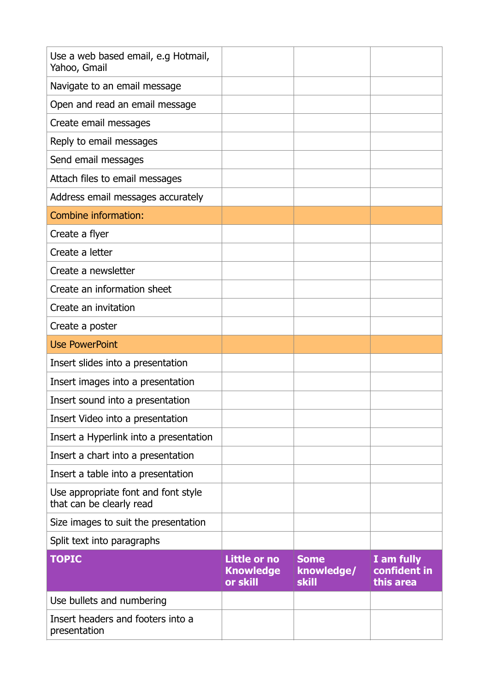| Use a web based email, e.g Hotmail,<br>Yahoo, Gmail             |                                              |                                           |                                         |
|-----------------------------------------------------------------|----------------------------------------------|-------------------------------------------|-----------------------------------------|
| Navigate to an email message                                    |                                              |                                           |                                         |
| Open and read an email message                                  |                                              |                                           |                                         |
| Create email messages                                           |                                              |                                           |                                         |
| Reply to email messages                                         |                                              |                                           |                                         |
| Send email messages                                             |                                              |                                           |                                         |
| Attach files to email messages                                  |                                              |                                           |                                         |
| Address email messages accurately                               |                                              |                                           |                                         |
| Combine information:                                            |                                              |                                           |                                         |
| Create a flyer                                                  |                                              |                                           |                                         |
| Create a letter                                                 |                                              |                                           |                                         |
| Create a newsletter                                             |                                              |                                           |                                         |
| Create an information sheet                                     |                                              |                                           |                                         |
| Create an invitation                                            |                                              |                                           |                                         |
| Create a poster                                                 |                                              |                                           |                                         |
| <b>Use PowerPoint</b>                                           |                                              |                                           |                                         |
| Insert slides into a presentation                               |                                              |                                           |                                         |
| Insert images into a presentation                               |                                              |                                           |                                         |
| Insert sound into a presentation                                |                                              |                                           |                                         |
| Insert Video into a presentation                                |                                              |                                           |                                         |
| Insert a Hyperlink into a presentation                          |                                              |                                           |                                         |
| Insert a chart into a presentation                              |                                              |                                           |                                         |
| Insert a table into a presentation                              |                                              |                                           |                                         |
| Use appropriate font and font style<br>that can be clearly read |                                              |                                           |                                         |
| Size images to suit the presentation                            |                                              |                                           |                                         |
| Split text into paragraphs                                      |                                              |                                           |                                         |
| <b>TOPIC</b>                                                    | Little or no<br><b>Knowledge</b><br>or skill | <b>Some</b><br>knowledge/<br><b>skill</b> | I am fully<br>confident in<br>this area |
| Use bullets and numbering                                       |                                              |                                           |                                         |
| Insert headers and footers into a<br>presentation               |                                              |                                           |                                         |